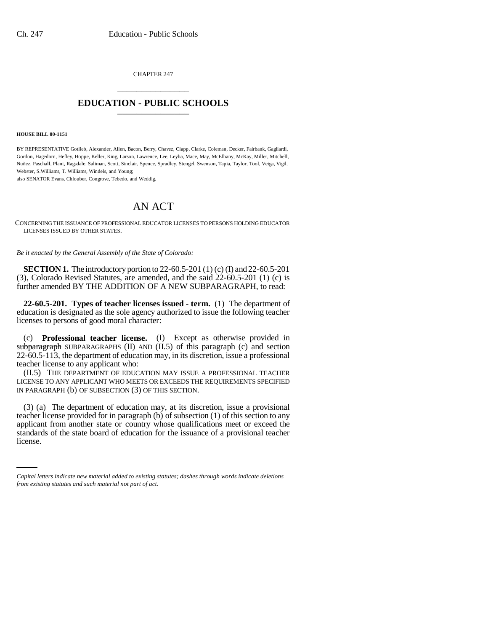CHAPTER 247 \_\_\_\_\_\_\_\_\_\_\_\_\_\_\_

## **EDUCATION - PUBLIC SCHOOLS** \_\_\_\_\_\_\_\_\_\_\_\_\_\_\_

## **HOUSE BILL 00-1151**

BY REPRESENTATIVE Gotlieb, Alexander, Allen, Bacon, Berry, Chavez, Clapp, Clarke, Coleman, Decker, Fairbank, Gagliardi, Gordon, Hagedorn, Hefley, Hoppe, Keller, King, Larson, Lawrence, Lee, Leyba, Mace, May, McElhany, McKay, Miller, Mitchell, Nuñez, Paschall, Plant, Ragsdale, Saliman, Scott, Sinclair, Spence, Spradley, Stengel, Swenson, Tapia, Taylor, Tool, Veiga, Vigil, Webster, S.Williams, T. Williams, Windels, and Young; also SENATOR Evans, Chlouber, Congrove, Tebedo, and Weddig.

## AN ACT

CONCERNING THE ISSUANCE OF PROFESSIONAL EDUCATOR LICENSES TO PERSONS HOLDING EDUCATOR LICENSES ISSUED BY OTHER STATES.

*Be it enacted by the General Assembly of the State of Colorado:*

**SECTION 1.** The introductory portion to 22-60.5-201 (1) (c) (I) and 22-60.5-201 (3), Colorado Revised Statutes, are amended, and the said 22-60.5-201 (1) (c) is further amended BY THE ADDITION OF A NEW SUBPARAGRAPH, to read:

**22-60.5-201. Types of teacher licenses issued - term.** (1) The department of education is designated as the sole agency authorized to issue the following teacher licenses to persons of good moral character:

(c) **Professional teacher license.** (I) Except as otherwise provided in subparagraph SUBPARAGRAPHS (II) AND (II.5) of this paragraph (c) and section 22-60.5-113, the department of education may, in its discretion, issue a professional teacher license to any applicant who:

(II.5) THE DEPARTMENT OF EDUCATION MAY ISSUE A PROFESSIONAL TEACHER LICENSE TO ANY APPLICANT WHO MEETS OR EXCEEDS THE REQUIREMENTS SPECIFIED IN PARAGRAPH (b) OF SUBSECTION (3) OF THIS SECTION.

applicant from another state or country whose qualifications meet or exceed the (3) (a) The department of education may, at its discretion, issue a provisional teacher license provided for in paragraph (b) of subsection (1) of this section to any standards of the state board of education for the issuance of a provisional teacher license.

*Capital letters indicate new material added to existing statutes; dashes through words indicate deletions from existing statutes and such material not part of act.*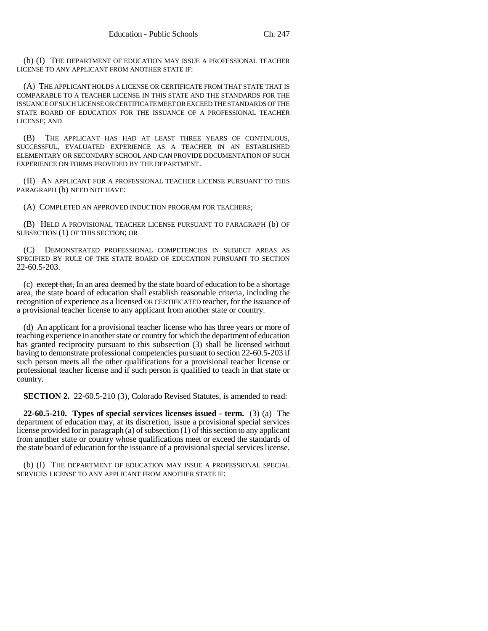(b) (I) THE DEPARTMENT OF EDUCATION MAY ISSUE A PROFESSIONAL TEACHER LICENSE TO ANY APPLICANT FROM ANOTHER STATE IF:

(A) THE APPLICANT HOLDS A LICENSE OR CERTIFICATE FROM THAT STATE THAT IS COMPARABLE TO A TEACHER LICENSE IN THIS STATE AND THE STANDARDS FOR THE ISSUANCE OF SUCH LICENSE OR CERTIFICATE MEET OR EXCEED THE STANDARDS OF THE STATE BOARD OF EDUCATION FOR THE ISSUANCE OF A PROFESSIONAL TEACHER LICENSE; AND

(B) THE APPLICANT HAS HAD AT LEAST THREE YEARS OF CONTINUOUS, SUCCESSFUL, EVALUATED EXPERIENCE AS A TEACHER IN AN ESTABLISHED ELEMENTARY OR SECONDARY SCHOOL AND CAN PROVIDE DOCUMENTATION OF SUCH EXPERIENCE ON FORMS PROVIDED BY THE DEPARTMENT.

(II) AN APPLICANT FOR A PROFESSIONAL TEACHER LICENSE PURSUANT TO THIS PARAGRAPH (b) NEED NOT HAVE:

(A) COMPLETED AN APPROVED INDUCTION PROGRAM FOR TEACHERS;

(B) HELD A PROVISIONAL TEACHER LICENSE PURSUANT TO PARAGRAPH (b) OF SUBSECTION (1) OF THIS SECTION; OR

(C) DEMONSTRATED PROFESSIONAL COMPETENCIES IN SUBJECT AREAS AS SPECIFIED BY RULE OF THE STATE BOARD OF EDUCATION PURSUANT TO SECTION 22-60.5-203.

(c) except that, In an area deemed by the state board of education to be a shortage area, the state board of education shall establish reasonable criteria, including the recognition of experience as a licensed OR CERTIFICATED teacher, for the issuance of a provisional teacher license to any applicant from another state or country.

(d) An applicant for a provisional teacher license who has three years or more of teaching experience in another state or country for which the department of education has granted reciprocity pursuant to this subsection (3) shall be licensed without having to demonstrate professional competencies pursuant to section 22-60.5-203 if such person meets all the other qualifications for a provisional teacher license or professional teacher license and if such person is qualified to teach in that state or country.

**SECTION 2.** 22-60.5-210 (3), Colorado Revised Statutes, is amended to read:

**22-60.5-210. Types of special services licenses issued - term.** (3) (a) The department of education may, at its discretion, issue a provisional special services license provided for in paragraph (a) of subsection (1) of this section to any applicant from another state or country whose qualifications meet or exceed the standards of the state board of education for the issuance of a provisional special services license.

(b) (I) THE DEPARTMENT OF EDUCATION MAY ISSUE A PROFESSIONAL SPECIAL SERVICES LICENSE TO ANY APPLICANT FROM ANOTHER STATE IF: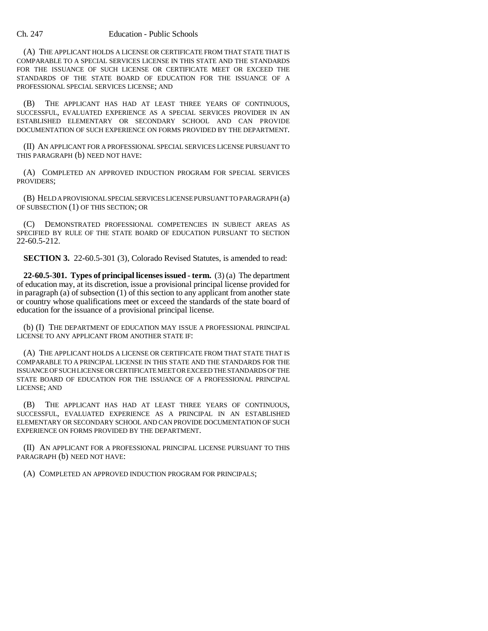## Ch. 247 Education - Public Schools

(A) THE APPLICANT HOLDS A LICENSE OR CERTIFICATE FROM THAT STATE THAT IS COMPARABLE TO A SPECIAL SERVICES LICENSE IN THIS STATE AND THE STANDARDS FOR THE ISSUANCE OF SUCH LICENSE OR CERTIFICATE MEET OR EXCEED THE STANDARDS OF THE STATE BOARD OF EDUCATION FOR THE ISSUANCE OF A PROFESSIONAL SPECIAL SERVICES LICENSE; AND

(B) THE APPLICANT HAS HAD AT LEAST THREE YEARS OF CONTINUOUS, SUCCESSFUL, EVALUATED EXPERIENCE AS A SPECIAL SERVICES PROVIDER IN AN ESTABLISHED ELEMENTARY OR SECONDARY SCHOOL AND CAN PROVIDE DOCUMENTATION OF SUCH EXPERIENCE ON FORMS PROVIDED BY THE DEPARTMENT.

(II) AN APPLICANT FOR A PROFESSIONAL SPECIAL SERVICES LICENSE PURSUANT TO THIS PARAGRAPH (b) NEED NOT HAVE:

(A) COMPLETED AN APPROVED INDUCTION PROGRAM FOR SPECIAL SERVICES PROVIDERS;

(B) HELD A PROVISIONAL SPECIAL SERVICES LICENSE PURSUANT TO PARAGRAPH (a) OF SUBSECTION (1) OF THIS SECTION; OR

(C) DEMONSTRATED PROFESSIONAL COMPETENCIES IN SUBJECT AREAS AS SPECIFIED BY RULE OF THE STATE BOARD OF EDUCATION PURSUANT TO SECTION 22-60.5-212.

**SECTION 3.** 22-60.5-301 (3), Colorado Revised Statutes, is amended to read:

**22-60.5-301. Types of principal licenses issued - term.** (3) (a) The department of education may, at its discretion, issue a provisional principal license provided for in paragraph (a) of subsection (1) of this section to any applicant from another state or country whose qualifications meet or exceed the standards of the state board of education for the issuance of a provisional principal license.

(b) (I) THE DEPARTMENT OF EDUCATION MAY ISSUE A PROFESSIONAL PRINCIPAL LICENSE TO ANY APPLICANT FROM ANOTHER STATE IF:

(A) THE APPLICANT HOLDS A LICENSE OR CERTIFICATE FROM THAT STATE THAT IS COMPARABLE TO A PRINCIPAL LICENSE IN THIS STATE AND THE STANDARDS FOR THE ISSUANCE OF SUCH LICENSE OR CERTIFICATE MEET OR EXCEED THE STANDARDS OF THE STATE BOARD OF EDUCATION FOR THE ISSUANCE OF A PROFESSIONAL PRINCIPAL LICENSE; AND

(B) THE APPLICANT HAS HAD AT LEAST THREE YEARS OF CONTINUOUS, SUCCESSFUL, EVALUATED EXPERIENCE AS A PRINCIPAL IN AN ESTABLISHED ELEMENTARY OR SECONDARY SCHOOL AND CAN PROVIDE DOCUMENTATION OF SUCH EXPERIENCE ON FORMS PROVIDED BY THE DEPARTMENT.

(II) AN APPLICANT FOR A PROFESSIONAL PRINCIPAL LICENSE PURSUANT TO THIS PARAGRAPH (b) NEED NOT HAVE:

(A) COMPLETED AN APPROVED INDUCTION PROGRAM FOR PRINCIPALS;